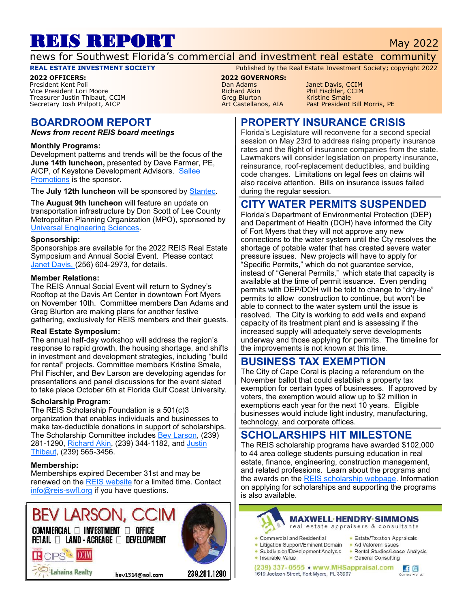# REIS REPORT May 2022

news for Southwest Florida's commercial and investment real estate community

#### **REAL ESTATE INVESTMENT SOCIETY** Published by the Real Estate Investment Society; copyright 2022

**2022 OFFICERS: 2022 GOVERNORS:** Vice President Lori Moore Treasurer Justin Thibaut, CCIM and Since the Castellanos, AIA and Kristine Smale<br>
Secretary Josh Philpott, AICP and Since The Castellanos, AIA and Past President Bill Morris, PE Secretary Josh Philpott, AICP

# **BOARDROOM REPORT**

*News from recent REIS board meetings*

#### **Monthly Programs:**

Development patterns and trends will be the focus of the **June 14th luncheon,** presented by Dave Farmer, PE, AICP, of Keystone Development Advisors. [Sallee](http://www.salleepromotions.com)  [Promotions](http://www.salleepromotions.com) is the sponsor.

The **July 12th luncheon** will be sponsored by [Stantec.](http://www.stantec.com)

The **August 9th luncheon** will feature an update on transportation infrastructure by Don Scott of Lee County Metropolitan Planning Organization (MPO), sponsored by [Universal Engineering Sciences.](http://www.teamgfa.com)

#### **Sponsorship:**

Sponsorships are available for the 2022 REIS Real Estate Symposium and Annual Social Event. Please contact [Janet Davis, \(](mailto:Janetmariedavis1222@gmail.com)256) 604-2973, for details.

#### **Member Relations:**

The REIS Annual Social Event will return to Sydney's Rooftop at the Davis Art Center in downtown Fort Myers on November 10th. Committee members Dan Adams and Greg Blurton are making plans for another festive gathering, exclusively for REIS members and their guests.

#### **Real Estate Symposium:**

The annual half-day workshop will address the region's response to rapid growth, the housing shortage, and shifts in investment and development strategies, including "build for rental" projects. Committee members Kristine Smale, Phil Fischler, and Bev Larson are developing agendas for presentations and panel discussions for the event slated to take place October 6th at Florida Gulf Coast University.

#### **Scholarship Program:**

The REIS Scholarship Foundation is a 501(c)3 organization that enables individuals and businesses to make tax-deductible donations in support of scholarships. The Scholarship Committee includes **Bey Larson**, (239) 281-1290, [Richard Akin,](mailto:richard.akin@henlaw.com) (239) 344-1182, and Justin [Thibaut,](mailto:jthibaut@lsicompanies.com) (239) 565-3456.

#### **Membership:**

Memberships expired December 31st and may be renewed on the [REIS website](http://www.reis-swfl.org) for a limited time. Contact [info@reis-swfl.org](mailto:info@reis-swfl.org) if you have questions.

# **BEV LARSON.**

 $\mathsf{COMMERCIAL} \ \Box \ \mathsf{INVESTMENT} \ \Box \ \ \mathsf{OFFICE}$ 



239.281.1290

# Lahaina Realty

R CIPS : COM

Pan Adams Janet Davis, CCIM<br>Phil Fischler, CCIM

## **PROPERTY INSURANCE CRISIS**

Florida's Legislature will reconvene for a second special session on May 23rd to address rising property insurance rates and the flight of insurance companies from the state. Lawmakers will consider legislation on property insurance, reinsurance, roof-replacement deductibles, and building code changes. Limitations on legal fees on claims will also receive attention. Bills on insurance issues failed during the regular session.

### **CITY WATER PERMITS SUSPENDED**

Florida's Department of Environmental Protection (DEP) and Department of Health (DOH) have informed the City of Fort Myers that they will not approve any new connections to the water system until the Cty resolves the shortage of potable water that has created severe water pressure issues. New projects will have to apply for "Specific Permits," which do not guarantee service, instead of "General Permits," which state that capacity is available at the time of permit issuance. Even pending permits with DEP/DOH will be told to change to "dry-line" permits to allow construction to continue, but won't be able to connect to the water system until the issue is resolved. The City is working to add wells and expand capacity of its treatment plant and is assessing if the increased supply will adequately serve developments underway and those applying for permits. The timeline for the improvements is not known at this time.

### **BUSINESS TAX EXEMPTION**

The City of Cape Coral is placing a referendum on the November ballot that could establish a property tax exemption for certain types of businesses. If approved by voters, the exemption would allow up to \$2 million in exemptions each year for the next 10 years. Eligible businesses would include light industry, manufacturing, technology, and corporate offices.

### **SCHOLARSHIPS HIT MILESTONE**

The REIS scholarship programs have awarded \$102,000 to 44 area college students pursuing education in real estate, finance, engineering, construction management, and related professions. Learn about the programs and the awards on the **REIS** scholarship webpage. Information on applying for scholarships and supporting the programs is also available.



#### **MAXWELL-HENDRY-SIMMONS**

real estate appraisers & consultants

- Commercial and Residential
- Litigation Support/Eminent Domain Ad Valorem Issues
- Subdivision/Development Analysis Rental Studies/Lease Analysis • Insurable Value
- Estate/Taxation Appraisals
- - General Consulting

(239) 337-0555 • www.MHSappraisal.com 1619 Jackson Street, Fort Myers, FL 33907



bev1314@aol.com